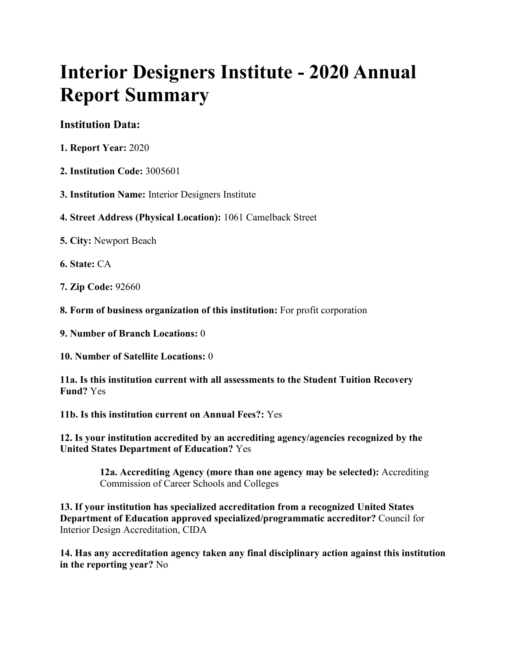# **Interior Designers Institute - 2020 Annual Report Summary**

# **Institution Data:**

- **1. Report Year:** 2020
- **2. Institution Code:** 3005601
- **3. Institution Name:** Interior Designers Institute
- **4. Street Address (Physical Location):** 1061 Camelback Street
- **5. City:** Newport Beach
- **6. State:** CA
- **7. Zip Code:** 92660
- **8. Form of business organization of this institution:** For profit corporation
- **9. Number of Branch Locations:** 0
- **10. Number of Satellite Locations:** 0
- **11a. Is this institution current with all assessments to the Student Tuition Recovery Fund?** Yes
- **11b. Is this institution current on Annual Fees?:** Yes

**12. Is your institution accredited by an accrediting agency/agencies recognized by the United States Department of Education?** Yes

> **12a. Accrediting Agency (more than one agency may be selected):** Accrediting Commission of Career Schools and Colleges

**13. If your institution has specialized accreditation from a recognized United States Department of Education approved specialized/programmatic accreditor?** Council for Interior Design Accreditation, CIDA

**14. Has any accreditation agency taken any final disciplinary action against this institution in the reporting year?** No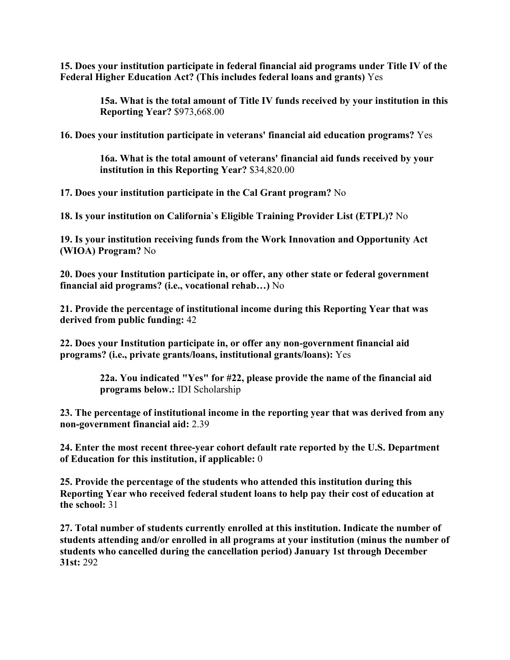**15. Does your institution participate in federal financial aid programs under Title IV of the Federal Higher Education Act? (This includes federal loans and grants)** Yes

> **15a. What is the total amount of Title IV funds received by your institution in this Reporting Year?** \$973,668.00

**16. Does your institution participate in veterans' financial aid education programs?** Yes

**16a. What is the total amount of veterans' financial aid funds received by your institution in this Reporting Year?** \$34,820.00

**17. Does your institution participate in the Cal Grant program?** No

**18. Is your institution on California`s Eligible Training Provider List (ETPL)?** No

**19. Is your institution receiving funds from the Work Innovation and Opportunity Act (WIOA) Program?** No

**20. Does your Institution participate in, or offer, any other state or federal government financial aid programs? (i.e., vocational rehab…)** No

**21. Provide the percentage of institutional income during this Reporting Year that was derived from public funding:** 42

**22. Does your Institution participate in, or offer any non-government financial aid programs? (i.e., private grants/loans, institutional grants/loans):** Yes

> **22a. You indicated "Yes" for #22, please provide the name of the financial aid programs below.:** IDI Scholarship

**23. The percentage of institutional income in the reporting year that was derived from any non-government financial aid:** 2.39

**24. Enter the most recent three-year cohort default rate reported by the U.S. Department of Education for this institution, if applicable:** 0

**25. Provide the percentage of the students who attended this institution during this Reporting Year who received federal student loans to help pay their cost of education at the school:** 31

**27. Total number of students currently enrolled at this institution. Indicate the number of students attending and/or enrolled in all programs at your institution (minus the number of students who cancelled during the cancellation period) January 1st through December 31st:** 292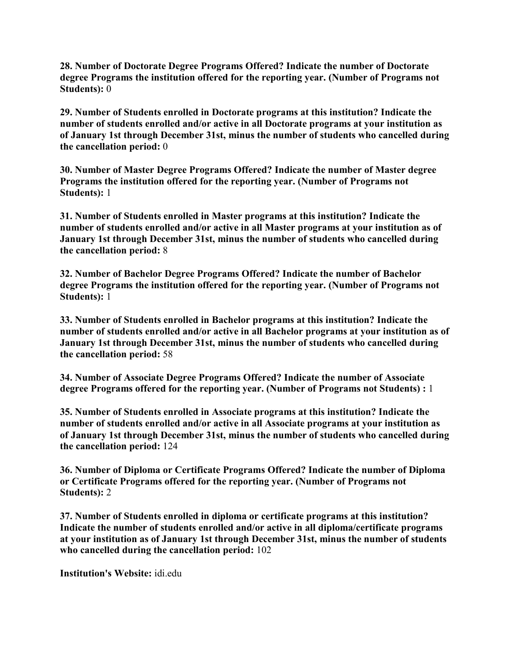**28. Number of Doctorate Degree Programs Offered? Indicate the number of Doctorate degree Programs the institution offered for the reporting year. (Number of Programs not Students):** 0

**29. Number of Students enrolled in Doctorate programs at this institution? Indicate the number of students enrolled and/or active in all Doctorate programs at your institution as of January 1st through December 31st, minus the number of students who cancelled during the cancellation period:** 0

**30. Number of Master Degree Programs Offered? Indicate the number of Master degree Programs the institution offered for the reporting year. (Number of Programs not Students):** 1

**31. Number of Students enrolled in Master programs at this institution? Indicate the number of students enrolled and/or active in all Master programs at your institution as of January 1st through December 31st, minus the number of students who cancelled during the cancellation period:** 8

**32. Number of Bachelor Degree Programs Offered? Indicate the number of Bachelor degree Programs the institution offered for the reporting year. (Number of Programs not Students):** 1

**33. Number of Students enrolled in Bachelor programs at this institution? Indicate the number of students enrolled and/or active in all Bachelor programs at your institution as of January 1st through December 31st, minus the number of students who cancelled during the cancellation period:** 58

**34. Number of Associate Degree Programs Offered? Indicate the number of Associate degree Programs offered for the reporting year. (Number of Programs not Students) :** 1

**35. Number of Students enrolled in Associate programs at this institution? Indicate the number of students enrolled and/or active in all Associate programs at your institution as of January 1st through December 31st, minus the number of students who cancelled during the cancellation period:** 124

**36. Number of Diploma or Certificate Programs Offered? Indicate the number of Diploma or Certificate Programs offered for the reporting year. (Number of Programs not Students):** 2

**37. Number of Students enrolled in diploma or certificate programs at this institution? Indicate the number of students enrolled and/or active in all diploma/certificate programs at your institution as of January 1st through December 31st, minus the number of students who cancelled during the cancellation period:** 102

**Institution's Website:** idi.edu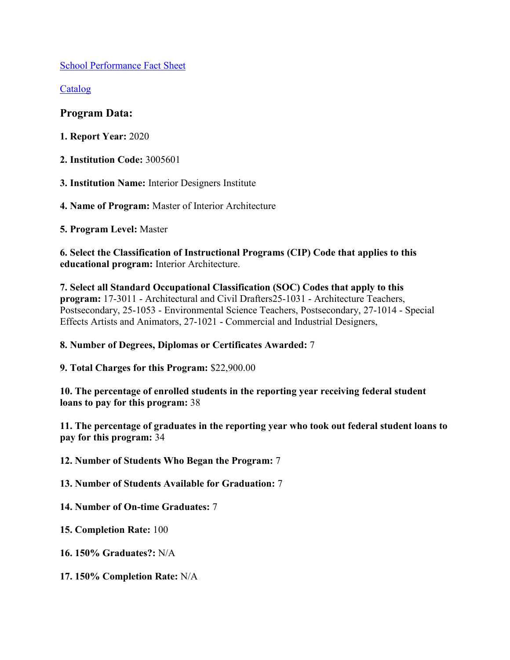[School Performance Fact Sheet](https://www.bppe.ca.gov/webapplications/annualReports/2020/document/D48E509A-494E-4B97-B223-9D43C07348D3)

[Catalog](https://www.bppe.ca.gov/webapplications/annualReports/2020/document/E6D0A63E-410A-4F99-B086-66D7DB93BEA9)

## **Program Data:**

- **1. Report Year:** 2020
- **2. Institution Code:** 3005601
- **3. Institution Name:** Interior Designers Institute
- **4. Name of Program:** Master of Interior Architecture

**5. Program Level:** Master

**6. Select the Classification of Instructional Programs (CIP) Code that applies to this educational program:** Interior Architecture.

**7. Select all Standard Occupational Classification (SOC) Codes that apply to this program:** 17-3011 - Architectural and Civil Drafters25-1031 - Architecture Teachers, Postsecondary, 25-1053 - Environmental Science Teachers, Postsecondary, 27-1014 - Special Effects Artists and Animators, 27-1021 - Commercial and Industrial Designers,

## **8. Number of Degrees, Diplomas or Certificates Awarded:** 7

**9. Total Charges for this Program:** \$22,900.00

**10. The percentage of enrolled students in the reporting year receiving federal student loans to pay for this program:** 38

**11. The percentage of graduates in the reporting year who took out federal student loans to pay for this program:** 34

**12. Number of Students Who Began the Program:** 7

**13. Number of Students Available for Graduation:** 7

**14. Number of On-time Graduates:** 7

**15. Completion Rate:** 100

**16. 150% Graduates?:** N/A

**17. 150% Completion Rate:** N/A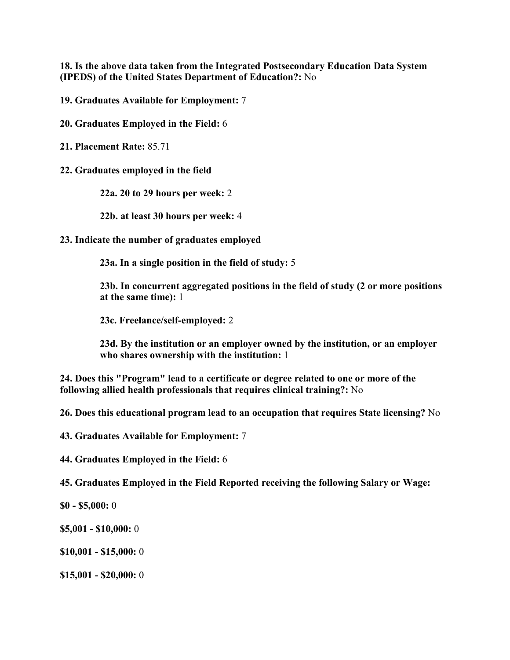**18. Is the above data taken from the Integrated Postsecondary Education Data System (IPEDS) of the United States Department of Education?:** No

**19. Graduates Available for Employment:** 7

**20. Graduates Employed in the Field:** 6

**21. Placement Rate:** 85.71

**22. Graduates employed in the field**

**22a. 20 to 29 hours per week:** 2

**22b. at least 30 hours per week:** 4

**23. Indicate the number of graduates employed**

**23a. In a single position in the field of study:** 5

**23b. In concurrent aggregated positions in the field of study (2 or more positions at the same time):** 1

**23c. Freelance/self-employed:** 2

**23d. By the institution or an employer owned by the institution, or an employer who shares ownership with the institution:** 1

**24. Does this "Program" lead to a certificate or degree related to one or more of the following allied health professionals that requires clinical training?:** No

**26. Does this educational program lead to an occupation that requires State licensing?** No

**43. Graduates Available for Employment:** 7

**44. Graduates Employed in the Field:** 6

**45. Graduates Employed in the Field Reported receiving the following Salary or Wage:**

**\$0 - \$5,000:** 0

**\$5,001 - \$10,000:** 0

**\$10,001 - \$15,000:** 0

**\$15,001 - \$20,000:** 0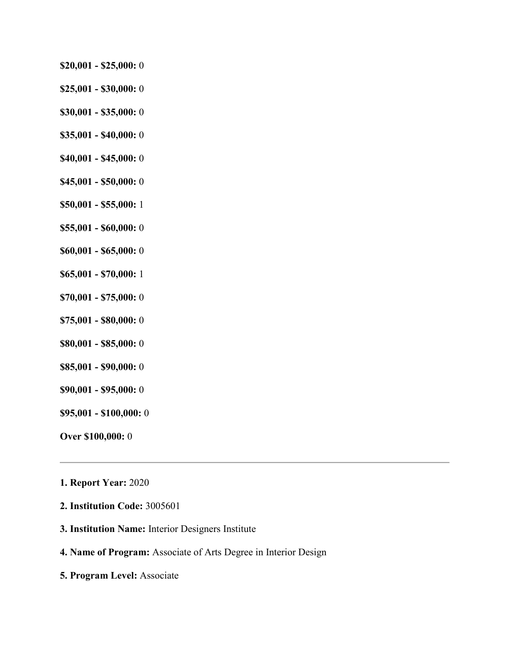- **\$20,001 - \$25,000:** 0
- **\$25,001 - \$30,000:** 0
- **\$30,001 - \$35,000:** 0
- **\$35,001 - \$40,000:** 0
- **\$40,001 - \$45,000:** 0
- **\$45,001 - \$50,000:** 0
- **\$50,001 - \$55,000:** 1
- **\$55,001 - \$60,000:** 0
- **\$60,001 - \$65,000:** 0
- **\$65,001 - \$70,000:** 1
- **\$70,001 - \$75,000:** 0
- **\$75,001 - \$80,000:** 0
- **\$80,001 - \$85,000:** 0
- **\$85,001 - \$90,000:** 0
- **\$90,001 - \$95,000:** 0
- **\$95,001 - \$100,000:** 0
- **Over \$100,000:** 0
- **1. Report Year:** 2020
- **2. Institution Code:** 3005601
- **3. Institution Name:** Interior Designers Institute
- **4. Name of Program:** Associate of Arts Degree in Interior Design
- **5. Program Level:** Associate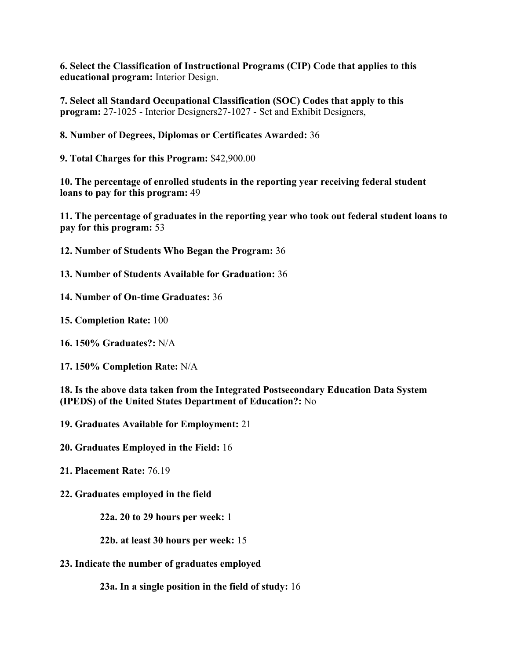**6. Select the Classification of Instructional Programs (CIP) Code that applies to this educational program:** Interior Design.

**7. Select all Standard Occupational Classification (SOC) Codes that apply to this program:** 27-1025 - Interior Designers27-1027 - Set and Exhibit Designers,

**8. Number of Degrees, Diplomas or Certificates Awarded:** 36

**9. Total Charges for this Program:** \$42,900.00

**10. The percentage of enrolled students in the reporting year receiving federal student loans to pay for this program:** 49

**11. The percentage of graduates in the reporting year who took out federal student loans to pay for this program:** 53

**12. Number of Students Who Began the Program:** 36

**13. Number of Students Available for Graduation:** 36

**14. Number of On-time Graduates:** 36

**15. Completion Rate:** 100

**16. 150% Graduates?:** N/A

**17. 150% Completion Rate:** N/A

**18. Is the above data taken from the Integrated Postsecondary Education Data System (IPEDS) of the United States Department of Education?:** No

**19. Graduates Available for Employment:** 21

**20. Graduates Employed in the Field:** 16

**21. Placement Rate:** 76.19

**22. Graduates employed in the field**

**22a. 20 to 29 hours per week:** 1

**22b. at least 30 hours per week:** 15

**23. Indicate the number of graduates employed**

**23a. In a single position in the field of study:** 16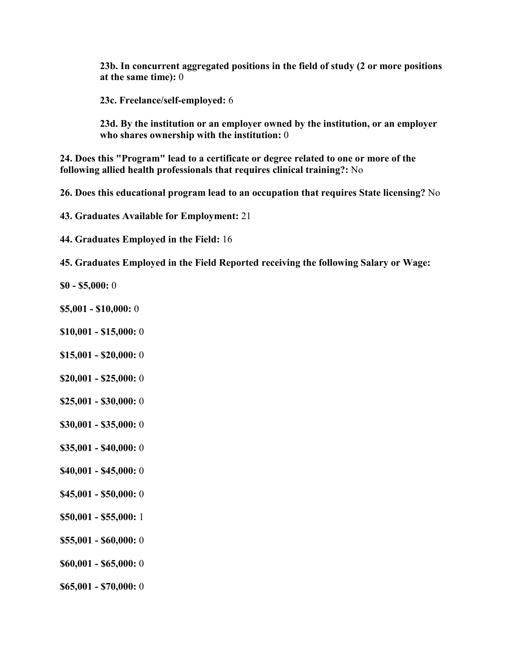**23b. In concurrent aggregated positions in the field of study (2 or more positions at the same time):** 0

**23c. Freelance/self-employed:** 6

**23d. By the institution or an employer owned by the institution, or an employer who shares ownership with the institution:** 0

**24. Does this "Program" lead to a certificate or degree related to one or more of the following allied health professionals that requires clinical training?:** No

**26. Does this educational program lead to an occupation that requires State licensing?** No

**43. Graduates Available for Employment:** 21

**44. Graduates Employed in the Field:** 16

**45. Graduates Employed in the Field Reported receiving the following Salary or Wage:**

**\$0 - \$5,000:** 0

- **\$5,001 - \$10,000:** 0
- **\$10,001 - \$15,000:** 0
- **\$15,001 - \$20,000:** 0
- **\$20,001 - \$25,000:** 0
- **\$25,001 - \$30,000:** 0
- **\$30,001 - \$35,000:** 0
- **\$35,001 - \$40,000:** 0
- **\$40,001 - \$45,000:** 0
- **\$45,001 - \$50,000:** 0
- **\$50,001 - \$55,000:** 1
- **\$55,001 - \$60,000:** 0
- **\$60,001 - \$65,000:** 0
- **\$65,001 - \$70,000:** 0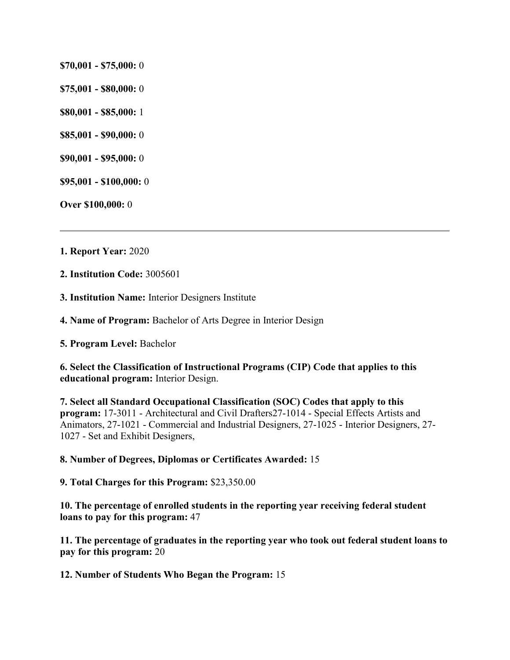- **\$70,001 - \$75,000:** 0
- **\$75,001 - \$80,000:** 0
- **\$80,001 - \$85,000:** 1
- **\$85,001 - \$90,000:** 0
- **\$90,001 - \$95,000:** 0
- **\$95,001 - \$100,000:** 0

**Over \$100,000:** 0

- **1. Report Year:** 2020
- **2. Institution Code:** 3005601
- **3. Institution Name:** Interior Designers Institute
- **4. Name of Program:** Bachelor of Arts Degree in Interior Design
- **5. Program Level:** Bachelor

**6. Select the Classification of Instructional Programs (CIP) Code that applies to this educational program:** Interior Design.

**7. Select all Standard Occupational Classification (SOC) Codes that apply to this program:** 17-3011 - Architectural and Civil Drafters27-1014 - Special Effects Artists and Animators, 27-1021 - Commercial and Industrial Designers, 27-1025 - Interior Designers, 27- 1027 - Set and Exhibit Designers,

#### **8. Number of Degrees, Diplomas or Certificates Awarded:** 15

**9. Total Charges for this Program:** \$23,350.00

**10. The percentage of enrolled students in the reporting year receiving federal student loans to pay for this program:** 47

**11. The percentage of graduates in the reporting year who took out federal student loans to pay for this program:** 20

**12. Number of Students Who Began the Program:** 15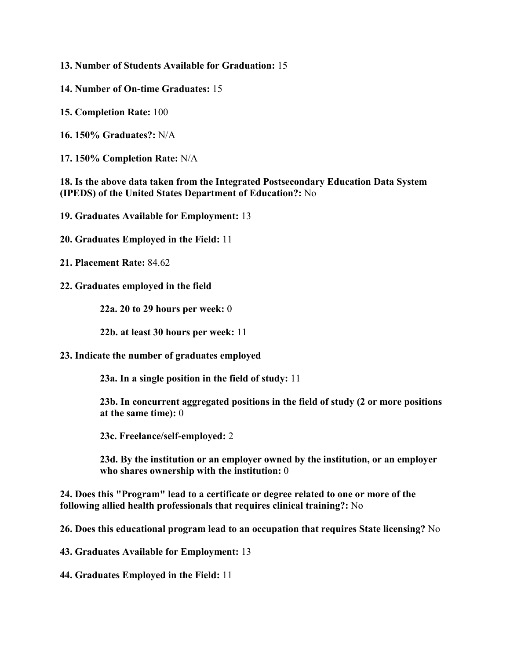**13. Number of Students Available for Graduation:** 15

- **14. Number of On-time Graduates:** 15
- **15. Completion Rate:** 100
- **16. 150% Graduates?:** N/A
- **17. 150% Completion Rate:** N/A

**18. Is the above data taken from the Integrated Postsecondary Education Data System (IPEDS) of the United States Department of Education?:** No

- **19. Graduates Available for Employment:** 13
- **20. Graduates Employed in the Field:** 11
- **21. Placement Rate:** 84.62
- **22. Graduates employed in the field**

**22a. 20 to 29 hours per week:** 0

**22b. at least 30 hours per week:** 11

**23. Indicate the number of graduates employed**

**23a. In a single position in the field of study:** 11

**23b. In concurrent aggregated positions in the field of study (2 or more positions at the same time):** 0

**23c. Freelance/self-employed:** 2

**23d. By the institution or an employer owned by the institution, or an employer who shares ownership with the institution:** 0

**24. Does this "Program" lead to a certificate or degree related to one or more of the following allied health professionals that requires clinical training?:** No

**26. Does this educational program lead to an occupation that requires State licensing?** No

**43. Graduates Available for Employment:** 13

**44. Graduates Employed in the Field:** 11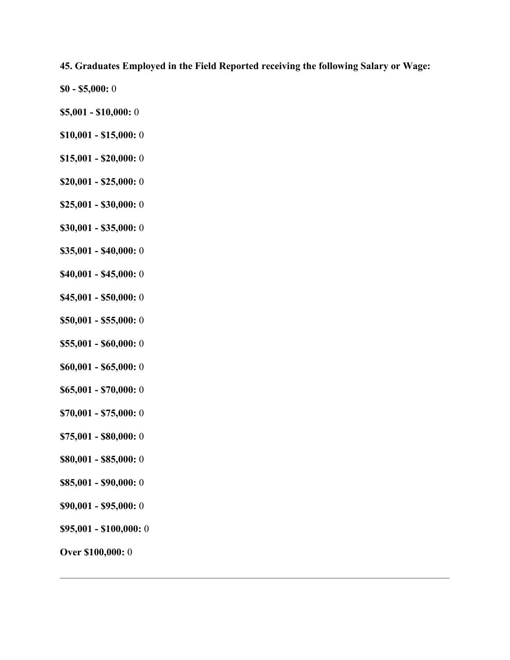## **45. Graduates Employed in the Field Reported receiving the following Salary or Wage:**

- **\$0 - \$5,000:** 0
- **\$5,001 - \$10,000:** 0
- **\$10,001 - \$15,000:** 0
- **\$15,001 - \$20,000:** 0
- **\$20,001 - \$25,000:** 0
- **\$25,001 - \$30,000:** 0
- **\$30,001 - \$35,000:** 0
- **\$35,001 - \$40,000:** 0
- **\$40,001 - \$45,000:** 0
- **\$45,001 - \$50,000:** 0
- **\$50,001 - \$55,000:** 0
- **\$55,001 - \$60,000:** 0
- **\$60,001 - \$65,000:** 0
- **\$65,001 - \$70,000:** 0
- **\$70,001 - \$75,000:** 0
- **\$75,001 - \$80,000:** 0
- **\$80,001 - \$85,000:** 0
- **\$85,001 - \$90,000:** 0
- **\$90,001 - \$95,000:** 0
- **\$95,001 - \$100,000:** 0
- **Over \$100,000:** 0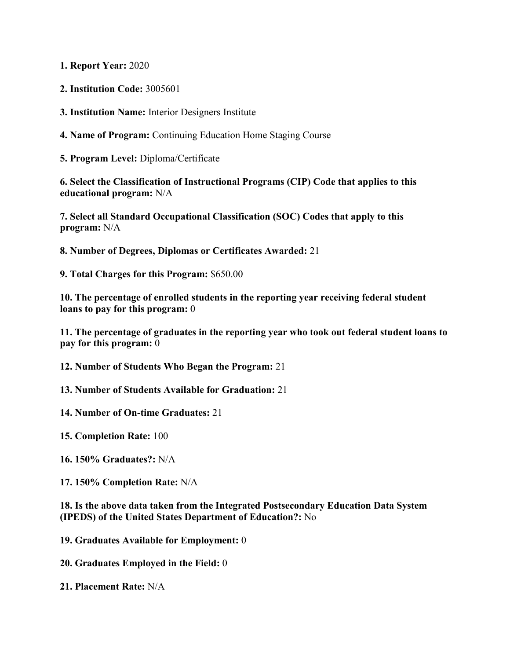**1. Report Year:** 2020

**2. Institution Code:** 3005601

**3. Institution Name:** Interior Designers Institute

**4. Name of Program:** Continuing Education Home Staging Course

**5. Program Level:** Diploma/Certificate

**6. Select the Classification of Instructional Programs (CIP) Code that applies to this educational program:** N/A

**7. Select all Standard Occupational Classification (SOC) Codes that apply to this program:** N/A

**8. Number of Degrees, Diplomas or Certificates Awarded:** 21

**9. Total Charges for this Program:** \$650.00

**10. The percentage of enrolled students in the reporting year receiving federal student loans to pay for this program:** 0

**11. The percentage of graduates in the reporting year who took out federal student loans to pay for this program:** 0

**12. Number of Students Who Began the Program:** 21

**13. Number of Students Available for Graduation:** 21

**14. Number of On-time Graduates:** 21

**15. Completion Rate:** 100

**16. 150% Graduates?:** N/A

**17. 150% Completion Rate:** N/A

**18. Is the above data taken from the Integrated Postsecondary Education Data System (IPEDS) of the United States Department of Education?:** No

**19. Graduates Available for Employment:** 0

**20. Graduates Employed in the Field:** 0

**21. Placement Rate:** N/A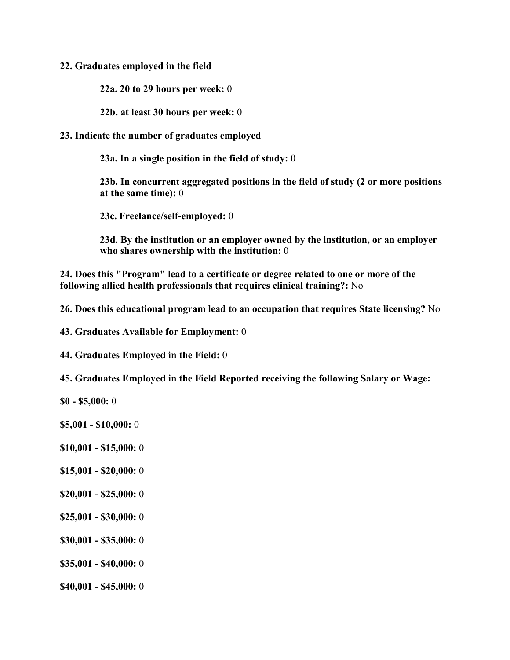#### **22. Graduates employed in the field**

**22a. 20 to 29 hours per week:** 0

**22b. at least 30 hours per week:** 0

#### **23. Indicate the number of graduates employed**

**23a. In a single position in the field of study:** 0

**23b. In concurrent aggregated positions in the field of study (2 or more positions at the same time):** 0

**23c. Freelance/self-employed:** 0

**23d. By the institution or an employer owned by the institution, or an employer who shares ownership with the institution:** 0

**24. Does this "Program" lead to a certificate or degree related to one or more of the following allied health professionals that requires clinical training?:** No

**26. Does this educational program lead to an occupation that requires State licensing?** No

**43. Graduates Available for Employment:** 0

**44. Graduates Employed in the Field:** 0

**45. Graduates Employed in the Field Reported receiving the following Salary or Wage:**

**\$0 - \$5,000:** 0

**\$5,001 - \$10,000:** 0

- **\$10,001 - \$15,000:** 0
- **\$15,001 - \$20,000:** 0
- **\$20,001 - \$25,000:** 0
- **\$25,001 - \$30,000:** 0
- **\$30,001 - \$35,000:** 0
- **\$35,001 - \$40,000:** 0
- **\$40,001 - \$45,000:** 0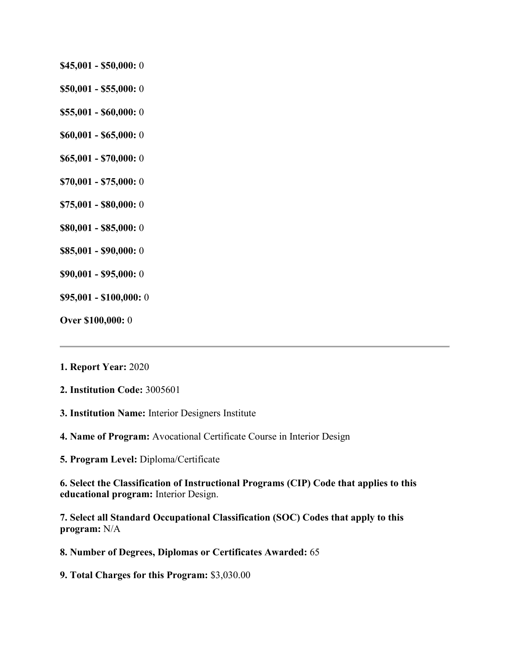- **\$45,001 - \$50,000:** 0
- **\$50,001 - \$55,000:** 0
- **\$55,001 - \$60,000:** 0
- **\$60,001 - \$65,000:** 0
- **\$65,001 - \$70,000:** 0
- **\$70,001 - \$75,000:** 0
- **\$75,001 - \$80,000:** 0
- **\$80,001 - \$85,000:** 0
- **\$85,001 - \$90,000:** 0
- **\$90,001 - \$95,000:** 0
- **\$95,001 - \$100,000:** 0
- **Over \$100,000:** 0

#### **1. Report Year:** 2020

- **2. Institution Code:** 3005601
- **3. Institution Name:** Interior Designers Institute
- **4. Name of Program:** Avocational Certificate Course in Interior Design
- **5. Program Level:** Diploma/Certificate

**6. Select the Classification of Instructional Programs (CIP) Code that applies to this educational program:** Interior Design.

**7. Select all Standard Occupational Classification (SOC) Codes that apply to this program:** N/A

- **8. Number of Degrees, Diplomas or Certificates Awarded:** 65
- **9. Total Charges for this Program:** \$3,030.00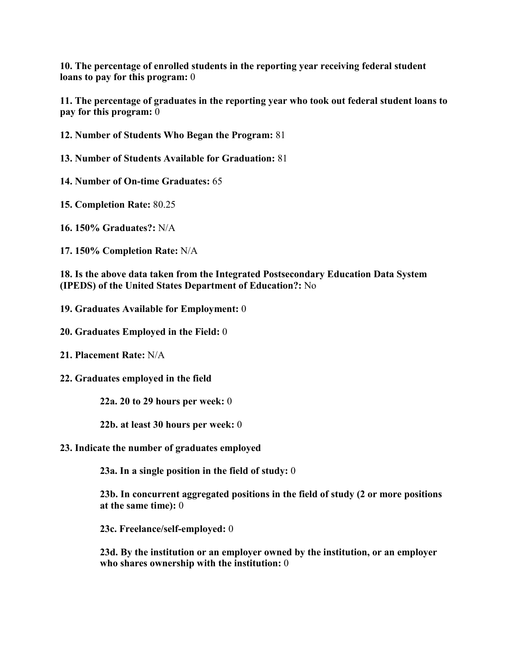**10. The percentage of enrolled students in the reporting year receiving federal student loans to pay for this program:** 0

**11. The percentage of graduates in the reporting year who took out federal student loans to pay for this program:** 0

- **12. Number of Students Who Began the Program:** 81
- **13. Number of Students Available for Graduation:** 81
- **14. Number of On-time Graduates:** 65
- **15. Completion Rate:** 80.25
- **16. 150% Graduates?:** N/A
- **17. 150% Completion Rate:** N/A

**18. Is the above data taken from the Integrated Postsecondary Education Data System (IPEDS) of the United States Department of Education?:** No

- **19. Graduates Available for Employment:** 0
- **20. Graduates Employed in the Field:** 0
- **21. Placement Rate:** N/A
- **22. Graduates employed in the field**
	- **22a. 20 to 29 hours per week:** 0
	- **22b. at least 30 hours per week:** 0
- **23. Indicate the number of graduates employed**

**23a. In a single position in the field of study:** 0

**23b. In concurrent aggregated positions in the field of study (2 or more positions at the same time):** 0

**23c. Freelance/self-employed:** 0

**23d. By the institution or an employer owned by the institution, or an employer who shares ownership with the institution:** 0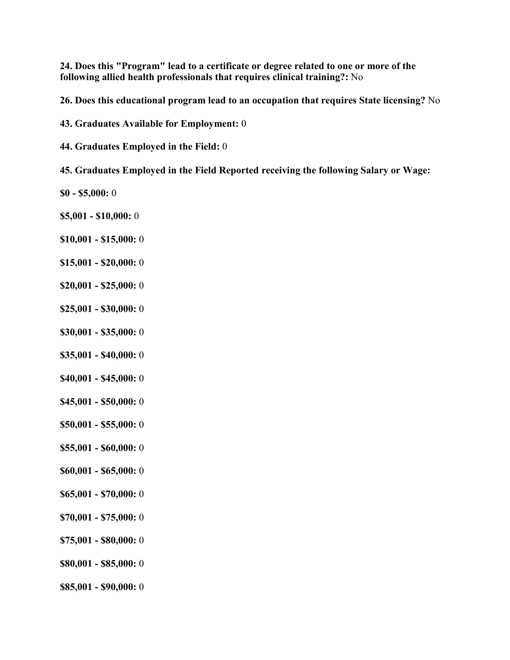**24. Does this "Program" lead to a certificate or degree related to one or more of the following allied health professionals that requires clinical training?:** No

**26. Does this educational program lead to an occupation that requires State licensing?** No

**43. Graduates Available for Employment:** 0

**44. Graduates Employed in the Field:** 0

**45. Graduates Employed in the Field Reported receiving the following Salary or Wage:**

- **\$0 - \$5,000:** 0
- **\$5,001 - \$10,000:** 0
- **\$10,001 - \$15,000:** 0
- **\$15,001 - \$20,000:** 0
- **\$20,001 - \$25,000:** 0
- **\$25,001 - \$30,000:** 0
- **\$30,001 - \$35,000:** 0
- **\$35,001 - \$40,000:** 0
- **\$40,001 - \$45,000:** 0
- **\$45,001 - \$50,000:** 0
- **\$50,001 - \$55,000:** 0
- **\$55,001 - \$60,000:** 0
- **\$60,001 - \$65,000:** 0
- **\$65,001 - \$70,000:** 0
- **\$70,001 - \$75,000:** 0
- **\$75,001 - \$80,000:** 0
- **\$80,001 - \$85,000:** 0
- **\$85,001 - \$90,000:** 0